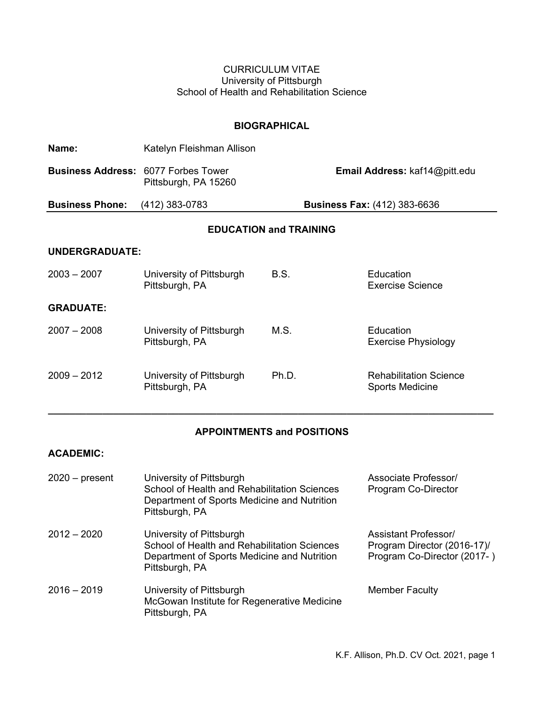## CURRICULUM VITAE University of Pittsburgh School of Health and Rehabilitation Science

#### **BIOGRAPHICAL**

| Name:                                      | Katelyn Fleishman Allison                  |             |                                                         |
|--------------------------------------------|--------------------------------------------|-------------|---------------------------------------------------------|
| <b>Business Address: 6077 Forbes Tower</b> | Pittsburgh, PA 15260                       |             | Email Address: kaf14@pitt.edu                           |
| <b>Business Phone:</b>                     | (412) 383-0783                             |             | <b>Business Fax: (412) 383-6636</b>                     |
| <b>EDUCATION and TRAINING</b>              |                                            |             |                                                         |
| <b>UNDERGRADUATE:</b>                      |                                            |             |                                                         |
| $2003 - 2007$                              | University of Pittsburgh<br>Pittsburgh, PA | <b>B.S.</b> | Education<br>Exercise Science                           |
| <b>GRADUATE:</b>                           |                                            |             |                                                         |
| $2007 - 2008$                              | University of Pittsburgh<br>Pittsburgh, PA | M.S.        | Education<br><b>Exercise Physiology</b>                 |
| $2009 - 2012$                              | University of Pittsburgh<br>Pittsburgh, PA | Ph.D.       | <b>Rehabilitation Science</b><br><b>Sports Medicine</b> |

# **APPOINTMENTS and POSITIONS**

**\_\_\_\_\_\_\_\_\_\_\_\_\_\_\_\_\_\_\_\_\_\_\_\_\_\_\_\_\_\_\_\_\_\_\_\_\_\_\_\_\_\_\_\_\_\_\_\_\_\_\_\_\_\_\_\_\_\_\_\_\_\_\_\_\_\_\_\_\_\_\_\_\_\_\_\_\_\_\_\_\_\_**

## **ACADEMIC:**

| $2020 - present$ | University of Pittsburgh<br>School of Health and Rehabilitation Sciences<br>Department of Sports Medicine and Nutrition<br>Pittsburgh, PA | Associate Professor/<br>Program Co-Director                                               |
|------------------|-------------------------------------------------------------------------------------------------------------------------------------------|-------------------------------------------------------------------------------------------|
| $2012 - 2020$    | University of Pittsburgh<br>School of Health and Rehabilitation Sciences<br>Department of Sports Medicine and Nutrition<br>Pittsburgh, PA | <b>Assistant Professor/</b><br>Program Director (2016-17)/<br>Program Co-Director (2017-) |
| $2016 - 2019$    | University of Pittsburgh<br>McGowan Institute for Regenerative Medicine<br>Pittsburgh, PA                                                 | <b>Member Faculty</b>                                                                     |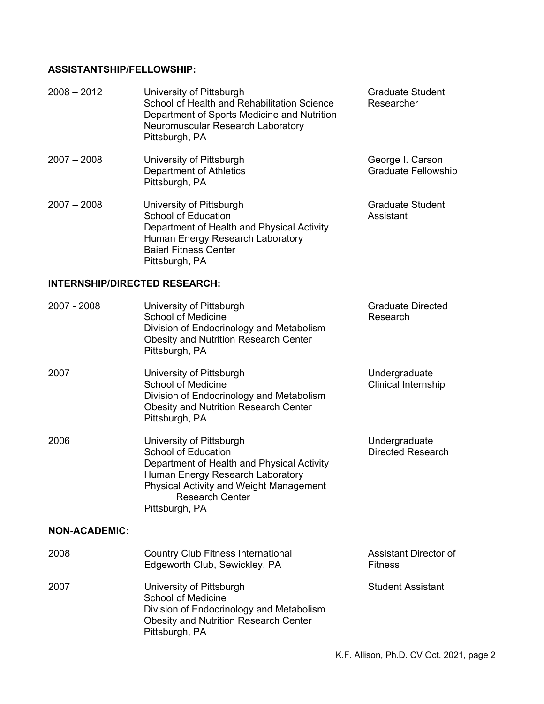# **ASSISTANTSHIP/FELLOWSHIP:**

| $2008 - 2012$                        | University of Pittsburgh<br>School of Health and Rehabilitation Science<br>Department of Sports Medicine and Nutrition<br>Neuromuscular Research Laboratory<br>Pittsburgh, PA                                            | <b>Graduate Student</b><br>Researcher          |
|--------------------------------------|--------------------------------------------------------------------------------------------------------------------------------------------------------------------------------------------------------------------------|------------------------------------------------|
| $2007 - 2008$                        | University of Pittsburgh<br><b>Department of Athletics</b><br>Pittsburgh, PA                                                                                                                                             | George I. Carson<br><b>Graduate Fellowship</b> |
| $2007 - 2008$                        | University of Pittsburgh<br><b>School of Education</b><br>Department of Health and Physical Activity<br>Human Energy Research Laboratory<br><b>Baierl Fitness Center</b><br>Pittsburgh, PA                               | <b>Graduate Student</b><br>Assistant           |
| <b>INTERNSHIP/DIRECTED RESEARCH:</b> |                                                                                                                                                                                                                          |                                                |
| 2007 - 2008                          | University of Pittsburgh<br><b>School of Medicine</b><br>Division of Endocrinology and Metabolism<br><b>Obesity and Nutrition Research Center</b><br>Pittsburgh, PA                                                      | <b>Graduate Directed</b><br>Research           |
| 2007                                 | University of Pittsburgh<br><b>School of Medicine</b><br>Division of Endocrinology and Metabolism<br><b>Obesity and Nutrition Research Center</b><br>Pittsburgh, PA                                                      | Undergraduate<br>Clinical Internship           |
| 2006                                 | University of Pittsburgh<br>School of Education<br>Department of Health and Physical Activity<br>Human Energy Research Laboratory<br>Physical Activity and Weight Management<br><b>Research Center</b><br>Pittsburgh, PA | Undergraduate<br><b>Directed Research</b>      |
| <b>NON-ACADEMIC:</b>                 |                                                                                                                                                                                                                          |                                                |
| 2008                                 | <b>Country Club Fitness International</b><br>Edgeworth Club, Sewickley, PA                                                                                                                                               | Assistant Director of<br><b>Fitness</b>        |
| 2007                                 | University of Pittsburgh<br><b>School of Medicine</b><br>Division of Endocrinology and Metabolism<br><b>Obesity and Nutrition Research Center</b><br>Pittsburgh, PA                                                      | <b>Student Assistant</b>                       |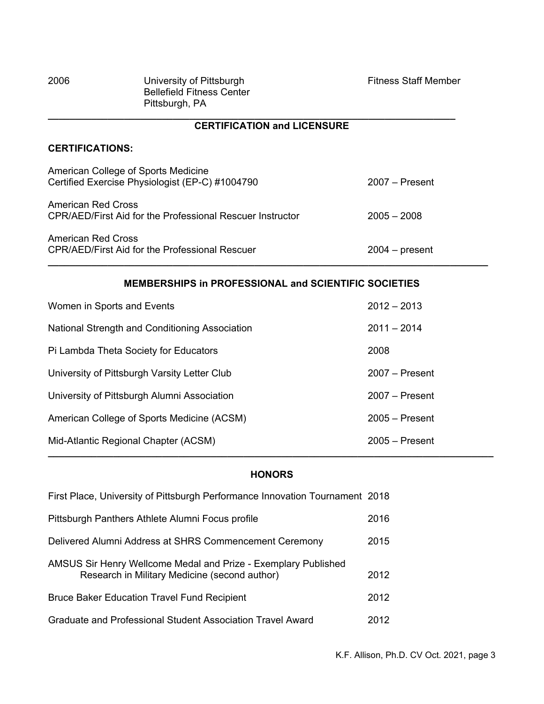| 2006 | University of Pittsburgh         | <b>Fitness Staff Member</b> |
|------|----------------------------------|-----------------------------|
|      | <b>Bellefield Fitness Center</b> |                             |
|      | Pittsburgh, PA                   |                             |

#### **\_\_\_\_\_\_\_\_\_\_\_\_\_\_\_\_\_\_\_\_\_\_\_\_\_\_\_\_\_\_\_\_\_\_\_\_\_\_\_\_\_\_\_\_\_\_\_\_\_\_\_\_\_\_\_\_\_\_\_\_\_\_\_\_\_\_\_\_\_\_\_\_\_\_\_ CERTIFICATION and LICENSURE**

## **CERTIFICATIONS:**

| American College of Sports Medicine<br>Certified Exercise Physiologist (EP-C) #1004790 | $2007 -$ Present |
|----------------------------------------------------------------------------------------|------------------|
| <b>American Red Cross</b><br>CPR/AED/First Aid for the Professional Rescuer Instructor | $2005 - 2008$    |
| <b>American Red Cross</b><br><b>CPR/AED/First Aid for the Professional Rescuer</b>     | $2004 - present$ |

## **MEMBERSHIPS in PROFESSIONAL and SCIENTIFIC SOCIETIES**

**\_\_\_\_\_\_\_\_\_\_\_\_\_\_\_\_\_\_\_\_\_\_\_\_\_\_\_\_\_\_\_\_\_\_\_\_\_\_\_\_\_\_\_\_\_\_\_\_\_\_\_\_\_\_\_\_\_\_\_\_\_\_\_\_\_\_\_\_\_\_\_\_\_\_\_\_\_\_\_\_\_**

| Women in Sports and Events                     | $2012 - 2013$    |
|------------------------------------------------|------------------|
| National Strength and Conditioning Association | $2011 - 2014$    |
| Pi Lambda Theta Society for Educators          | 2008             |
| University of Pittsburgh Varsity Letter Club   | $2007 -$ Present |
| University of Pittsburgh Alumni Association    | $2007 -$ Present |
| American College of Sports Medicine (ACSM)     | $2005 -$ Present |
| Mid-Atlantic Regional Chapter (ACSM)           | $2005 -$ Present |

# **HONORS**

| First Place, University of Pittsburgh Performance Innovation Tournament 2018                                    |      |
|-----------------------------------------------------------------------------------------------------------------|------|
| Pittsburgh Panthers Athlete Alumni Focus profile                                                                | 2016 |
| Delivered Alumni Address at SHRS Commencement Ceremony                                                          | 2015 |
| AMSUS Sir Henry Wellcome Medal and Prize - Exemplary Published<br>Research in Military Medicine (second author) | 2012 |
| <b>Bruce Baker Education Travel Fund Recipient</b>                                                              | 2012 |
| Graduate and Professional Student Association Travel Award                                                      | 2012 |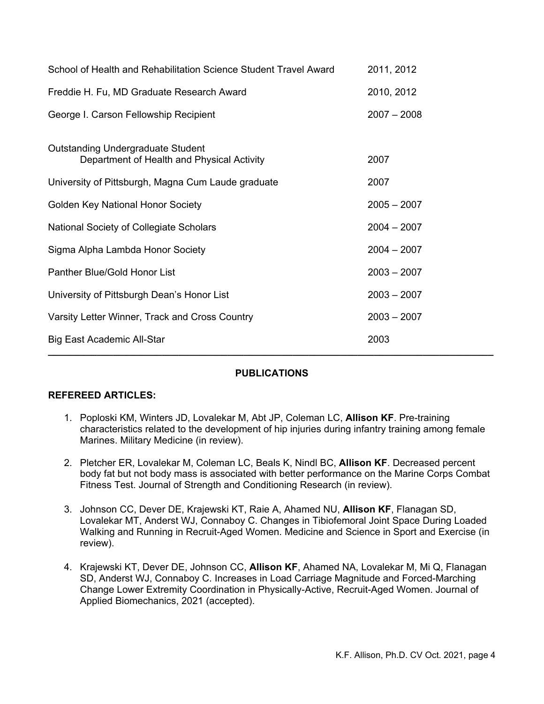| School of Health and Rehabilitation Science Student Travel Award                       | 2011, 2012    |
|----------------------------------------------------------------------------------------|---------------|
| Freddie H. Fu, MD Graduate Research Award                                              | 2010, 2012    |
| George I. Carson Fellowship Recipient                                                  | $2007 - 2008$ |
| <b>Outstanding Undergraduate Student</b><br>Department of Health and Physical Activity | 2007          |
| University of Pittsburgh, Magna Cum Laude graduate                                     | 2007          |
| <b>Golden Key National Honor Society</b>                                               | $2005 - 2007$ |
| National Society of Collegiate Scholars                                                | $2004 - 2007$ |
| Sigma Alpha Lambda Honor Society                                                       | $2004 - 2007$ |
| <b>Panther Blue/Gold Honor List</b>                                                    | $2003 - 2007$ |
| University of Pittsburgh Dean's Honor List                                             | $2003 - 2007$ |
| Varsity Letter Winner, Track and Cross Country                                         | $2003 - 2007$ |
| Big East Academic All-Star                                                             | 2003          |

## **PUBLICATIONS**

## **REFEREED ARTICLES:**

- 1. Poploski KM, Winters JD, Lovalekar M, Abt JP, Coleman LC, **Allison KF**. Pre-training characteristics related to the development of hip injuries during infantry training among female Marines. Military Medicine (in review).
- 2. Pletcher ER, Lovalekar M, Coleman LC, Beals K, Nindl BC, **Allison KF**. Decreased percent body fat but not body mass is associated with better performance on the Marine Corps Combat Fitness Test. Journal of Strength and Conditioning Research (in review).
- 3. Johnson CC, Dever DE, Krajewski KT, Raie A, Ahamed NU, **Allison KF**, Flanagan SD, Lovalekar MT, Anderst WJ, Connaboy C. Changes in Tibiofemoral Joint Space During Loaded Walking and Running in Recruit-Aged Women. Medicine and Science in Sport and Exercise (in review).
- 4. Krajewski KT, Dever DE, Johnson CC, **Allison KF**, Ahamed NA, Lovalekar M, Mi Q, Flanagan SD, Anderst WJ, Connaboy C. Increases in Load Carriage Magnitude and Forced-Marching Change Lower Extremity Coordination in Physically-Active, Recruit-Aged Women. Journal of Applied Biomechanics, 2021 (accepted).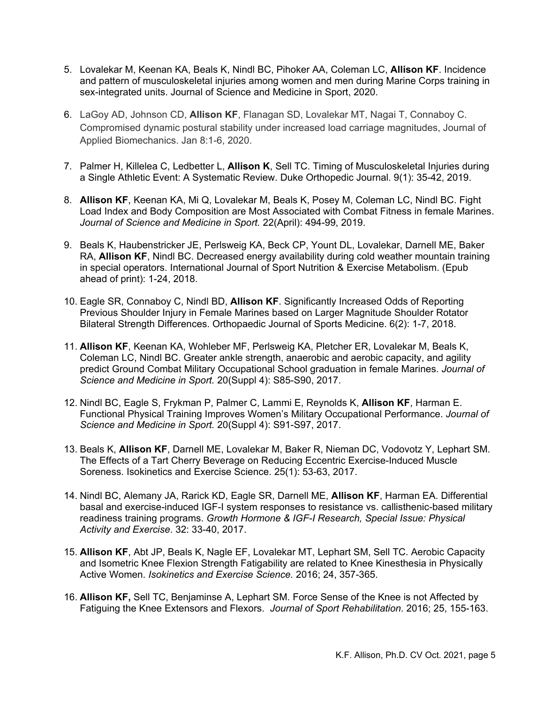- 5. Lovalekar M, Keenan KA, Beals K, Nindl BC, Pihoker AA, Coleman LC, **Allison KF**. Incidence and pattern of musculoskeletal injuries among women and men during Marine Corps training in sex-integrated units. Journal of Science and Medicine in Sport, 2020.
- 6. LaGoy AD, Johnson CD, **Allison KF**, Flanagan SD, Lovalekar MT, Nagai T, Connaboy C. Compromised dynamic postural stability under increased load carriage magnitudes, Journal of Applied Biomechanics. Jan 8:1-6, 2020.
- 7. Palmer H, Killelea C, Ledbetter L, **Allison K**, Sell TC. Timing of Musculoskeletal Injuries during a Single Athletic Event: A Systematic Review. Duke Orthopedic Journal. 9(1): 35-42, 2019.
- 8. **Allison KF**, Keenan KA, Mi Q, Lovalekar M, Beals K, Posey M, Coleman LC, Nindl BC. Fight Load Index and Body Composition are Most Associated with Combat Fitness in female Marines. *Journal of Science and Medicine in Sport.* 22(April): 494-99, 2019.
- 9. Beals K, Haubenstricker JE, Perlsweig KA, Beck CP, Yount DL, Lovalekar, Darnell ME, Baker RA, **Allison KF**, Nindl BC. Decreased energy availability during cold weather mountain training in special operators. International Journal of Sport Nutrition & Exercise Metabolism. (Epub ahead of print): 1-24, 2018.
- 10. Eagle SR, Connaboy C, Nindl BD, **Allison KF**. Significantly Increased Odds of Reporting Previous Shoulder Injury in Female Marines based on Larger Magnitude Shoulder Rotator Bilateral Strength Differences. Orthopaedic Journal of Sports Medicine. 6(2): 1-7, 2018.
- 11. **Allison KF**, Keenan KA, Wohleber MF, Perlsweig KA, Pletcher ER, Lovalekar M, Beals K, Coleman LC, Nindl BC. Greater ankle strength, anaerobic and aerobic capacity, and agility predict Ground Combat Military Occupational School graduation in female Marines. *Journal of Science and Medicine in Sport.* 20(Suppl 4): S85-S90, 2017.
- 12. Nindl BC, Eagle S, Frykman P, Palmer C, Lammi E, Reynolds K, **Allison KF**, Harman E. Functional Physical Training Improves Women's Military Occupational Performance. *Journal of Science and Medicine in Sport.* 20(Suppl 4): S91-S97, 2017.
- 13. Beals K, **Allison KF**, Darnell ME, Lovalekar M, Baker R, Nieman DC, Vodovotz Y, Lephart SM. The Effects of a Tart Cherry Beverage on Reducing Eccentric Exercise-Induced Muscle Soreness. Isokinetics and Exercise Science. 25(1): 53-63, 2017.
- 14. Nindl BC, Alemany JA, Rarick KD, Eagle SR, Darnell ME, **Allison KF**, Harman EA. Differential basal and exercise-induced IGF-I system responses to resistance vs. callisthenic-based military readiness training programs. *Growth Hormone & IGF-I Research, Special Issue: Physical Activity and Exercise*. 32: 33-40, 2017.
- 15. **Allison KF**, Abt JP, Beals K, Nagle EF, Lovalekar MT, Lephart SM, Sell TC. Aerobic Capacity and Isometric Knee Flexion Strength Fatigability are related to Knee Kinesthesia in Physically Active Women. *Isokinetics and Exercise Science.* 2016; 24, 357-365.
- 16. **Allison KF,** Sell TC, Benjaminse A, Lephart SM. Force Sense of the Knee is not Affected by Fatiguing the Knee Extensors and Flexors. *Journal of Sport Rehabilitation*. 2016; 25, 155-163.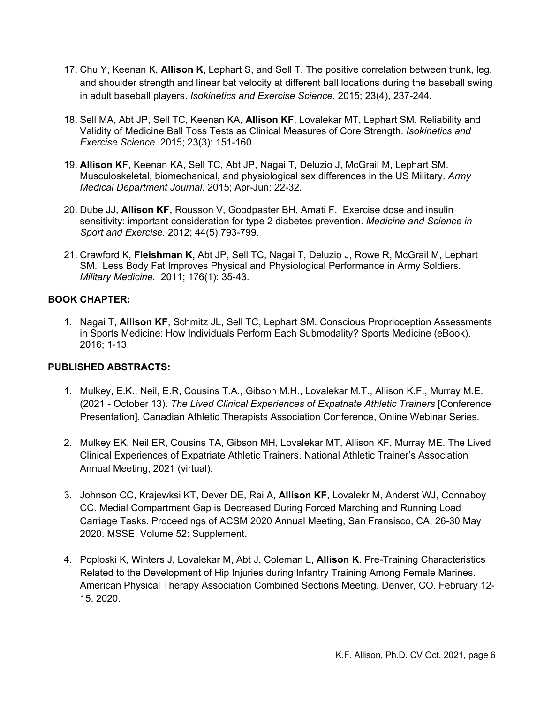- 17. Chu Y, Keenan K, **Allison K**, Lephart S, and Sell T. The positive correlation between trunk, leg, and shoulder strength and linear bat velocity at different ball locations during the baseball swing in adult baseball players. *Isokinetics and Exercise Science.* 2015; 23(4), 237-244.
- 18. Sell MA, Abt JP, Sell TC, Keenan KA, **Allison KF**, Lovalekar MT, Lephart SM. Reliability and Validity of Medicine Ball Toss Tests as Clinical Measures of Core Strength. *Isokinetics and Exercise Science*. 2015; 23(3): 151-160.
- 19. **Allison KF**, Keenan KA, Sell TC, Abt JP, Nagai T, Deluzio J, McGrail M, Lephart SM. Musculoskeletal, biomechanical, and physiological sex differences in the US Military. *Army Medical Department Journal*. 2015; Apr-Jun: 22-32.
- 20. Dube JJ, **Allison KF,** Rousson V, Goodpaster BH, Amati F. Exercise dose and insulin sensitivity: important consideration for type 2 diabetes prevention. *Medicine and Science in Sport and Exercise.* 2012; 44(5):793-799.
- 21. Crawford K, **Fleishman K,** Abt JP, Sell TC, Nagai T, Deluzio J, Rowe R, McGrail M, Lephart SM. Less Body Fat Improves Physical and Physiological Performance in Army Soldiers. *Military Medicine.* 2011; 176(1): 35-43.

## **BOOK CHAPTER:**

1. Nagai T, **Allison KF**, Schmitz JL, Sell TC, Lephart SM. Conscious Proprioception Assessments in Sports Medicine: How Individuals Perform Each Submodality? Sports Medicine (eBook). 2016; 1-13.

## **PUBLISHED ABSTRACTS:**

- 1. Mulkey, E.K., Neil, E.R, Cousins T.A., Gibson M.H., Lovalekar M.T., Allison K.F., Murray M.E. (2021 - October 13). *The Lived Clinical Experiences of Expatriate Athletic Trainers* [Conference Presentation]. Canadian Athletic Therapists Association Conference, Online Webinar Series.
- 2. Mulkey EK, Neil ER, Cousins TA, Gibson MH, Lovalekar MT, Allison KF, Murray ME. The Lived Clinical Experiences of Expatriate Athletic Trainers. National Athletic Trainer's Association Annual Meeting, 2021 (virtual).
- 3. Johnson CC, Krajewksi KT, Dever DE, Rai A, **Allison KF**, Lovalekr M, Anderst WJ, Connaboy CC. Medial Compartment Gap is Decreased During Forced Marching and Running Load Carriage Tasks. Proceedings of ACSM 2020 Annual Meeting, San Fransisco, CA, 26-30 May 2020. MSSE, Volume 52: Supplement.
- 4. Poploski K, Winters J, Lovalekar M, Abt J, Coleman L, **Allison K**. Pre-Training Characteristics Related to the Development of Hip Injuries during Infantry Training Among Female Marines. American Physical Therapy Association Combined Sections Meeting. Denver, CO. February 12- 15, 2020.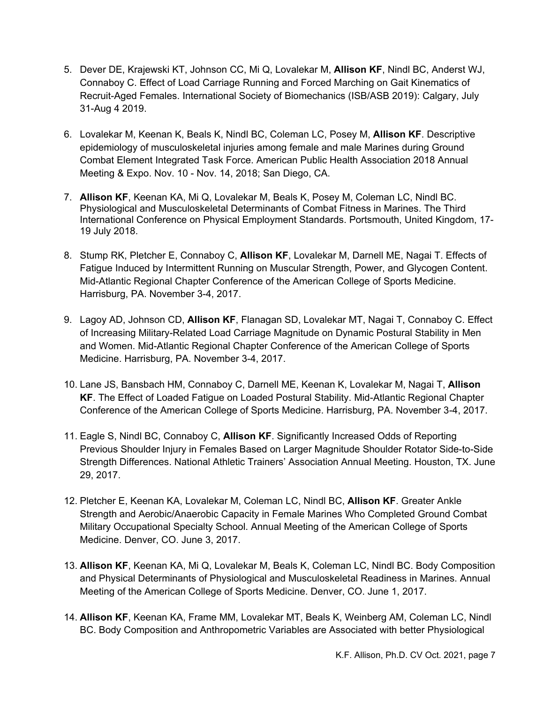- 5. Dever DE, Krajewski KT, Johnson CC, Mi Q, Lovalekar M, **Allison KF**, Nindl BC, Anderst WJ, Connaboy C. Effect of Load Carriage Running and Forced Marching on Gait Kinematics of Recruit-Aged Females. International Society of Biomechanics (ISB/ASB 2019): Calgary, July 31-Aug 4 2019.
- 6. Lovalekar M, Keenan K, Beals K, Nindl BC, Coleman LC, Posey M, **Allison KF**. Descriptive epidemiology of musculoskeletal injuries among female and male Marines during Ground Combat Element Integrated Task Force. American Public Health Association 2018 Annual Meeting & Expo. Nov. 10 - Nov. 14, 2018; San Diego, CA.
- 7. **Allison KF**, Keenan KA, Mi Q, Lovalekar M, Beals K, Posey M, Coleman LC, Nindl BC. Physiological and Musculoskeletal Determinants of Combat Fitness in Marines. The Third International Conference on Physical Employment Standards. Portsmouth, United Kingdom, 17- 19 July 2018.
- 8. Stump RK, Pletcher E, Connaboy C, **Allison KF**, Lovalekar M, Darnell ME, Nagai T. Effects of Fatigue Induced by Intermittent Running on Muscular Strength, Power, and Glycogen Content. Mid-Atlantic Regional Chapter Conference of the American College of Sports Medicine. Harrisburg, PA. November 3-4, 2017.
- 9. Lagoy AD, Johnson CD, **Allison KF**, Flanagan SD, Lovalekar MT, Nagai T, Connaboy C. Effect of Increasing Military-Related Load Carriage Magnitude on Dynamic Postural Stability in Men and Women. Mid-Atlantic Regional Chapter Conference of the American College of Sports Medicine. Harrisburg, PA. November 3-4, 2017.
- 10. Lane JS, Bansbach HM, Connaboy C, Darnell ME, Keenan K, Lovalekar M, Nagai T, **Allison KF**. The Effect of Loaded Fatigue on Loaded Postural Stability. Mid-Atlantic Regional Chapter Conference of the American College of Sports Medicine. Harrisburg, PA. November 3-4, 2017.
- 11. Eagle S, Nindl BC, Connaboy C, **Allison KF**. Significantly Increased Odds of Reporting Previous Shoulder Injury in Females Based on Larger Magnitude Shoulder Rotator Side-to-Side Strength Differences. National Athletic Trainers' Association Annual Meeting. Houston, TX. June 29, 2017.
- 12. Pletcher E, Keenan KA, Lovalekar M, Coleman LC, Nindl BC, **Allison KF**. Greater Ankle Strength and Aerobic/Anaerobic Capacity in Female Marines Who Completed Ground Combat Military Occupational Specialty School. Annual Meeting of the American College of Sports Medicine. Denver, CO. June 3, 2017.
- 13. **Allison KF**, Keenan KA, Mi Q, Lovalekar M, Beals K, Coleman LC, Nindl BC. Body Composition and Physical Determinants of Physiological and Musculoskeletal Readiness in Marines. Annual Meeting of the American College of Sports Medicine. Denver, CO. June 1, 2017.
- 14. **Allison KF**, Keenan KA, Frame MM, Lovalekar MT, Beals K, Weinberg AM, Coleman LC, Nindl BC. Body Composition and Anthropometric Variables are Associated with better Physiological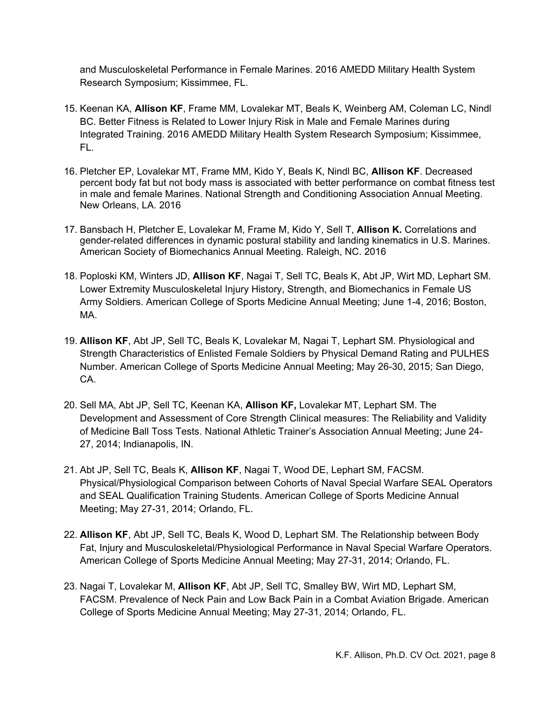and Musculoskeletal Performance in Female Marines. 2016 AMEDD Military Health System Research Symposium; Kissimmee, FL.

- 15. Keenan KA, **Allison KF**, Frame MM, Lovalekar MT, Beals K, Weinberg AM, Coleman LC, Nindl BC. Better Fitness is Related to Lower Injury Risk in Male and Female Marines during Integrated Training. 2016 AMEDD Military Health System Research Symposium; Kissimmee, FL.
- 16. Pletcher EP, Lovalekar MT, Frame MM, Kido Y, Beals K, Nindl BC, **Allison KF**. Decreased percent body fat but not body mass is associated with better performance on combat fitness test in male and female Marines. National Strength and Conditioning Association Annual Meeting. New Orleans, LA. 2016
- 17. Bansbach H, Pletcher E, Lovalekar M, Frame M, Kido Y, Sell T, **Allison K.** Correlations and gender-related differences in dynamic postural stability and landing kinematics in U.S. Marines. American Society of Biomechanics Annual Meeting. Raleigh, NC. 2016
- 18. Poploski KM, Winters JD, **Allison KF**, Nagai T, Sell TC, Beals K, Abt JP, Wirt MD, Lephart SM. Lower Extremity Musculoskeletal Injury History, Strength, and Biomechanics in Female US Army Soldiers. American College of Sports Medicine Annual Meeting; June 1-4, 2016; Boston, MA.
- 19. **Allison KF**, Abt JP, Sell TC, Beals K, Lovalekar M, Nagai T, Lephart SM. Physiological and Strength Characteristics of Enlisted Female Soldiers by Physical Demand Rating and PULHES Number. American College of Sports Medicine Annual Meeting; May 26-30, 2015; San Diego, CA.
- 20. Sell MA, Abt JP, Sell TC, Keenan KA, **Allison KF,** Lovalekar MT, Lephart SM. The Development and Assessment of Core Strength Clinical measures: The Reliability and Validity of Medicine Ball Toss Tests. National Athletic Trainer's Association Annual Meeting; June 24- 27, 2014; Indianapolis, IN.
- 21. Abt JP, Sell TC, Beals K, **Allison KF**, Nagai T, Wood DE, Lephart SM, FACSM. Physical/Physiological Comparison between Cohorts of Naval Special Warfare SEAL Operators and SEAL Qualification Training Students. American College of Sports Medicine Annual Meeting; May 27-31, 2014; Orlando, FL.
- 22. **Allison KF**, Abt JP, Sell TC, Beals K, Wood D, Lephart SM. The Relationship between Body Fat, Injury and Musculoskeletal/Physiological Performance in Naval Special Warfare Operators. American College of Sports Medicine Annual Meeting; May 27-31, 2014; Orlando, FL.
- 23. Nagai T, Lovalekar M, **Allison KF**, Abt JP, Sell TC, Smalley BW, Wirt MD, Lephart SM, FACSM. Prevalence of Neck Pain and Low Back Pain in a Combat Aviation Brigade. American College of Sports Medicine Annual Meeting; May 27-31, 2014; Orlando, FL.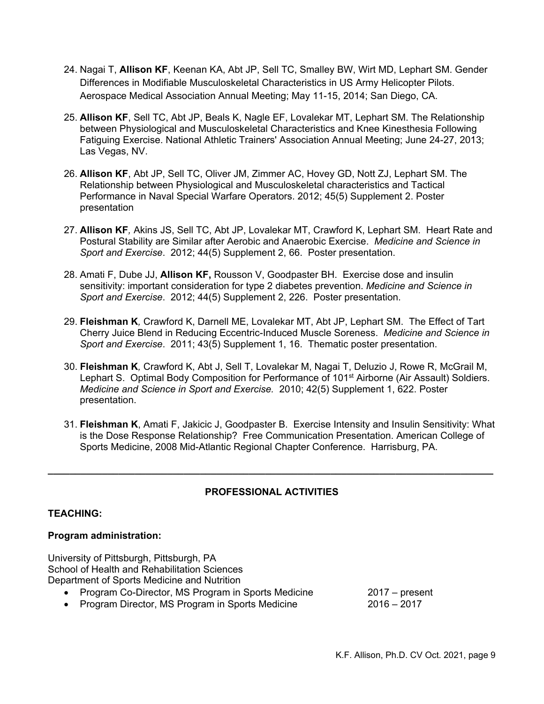- 24. Nagai T, **Allison KF**, Keenan KA, Abt JP, Sell TC, Smalley BW, Wirt MD, Lephart SM. Gender Differences in Modifiable Musculoskeletal Characteristics in US Army Helicopter Pilots. Aerospace Medical Association Annual Meeting; May 11-15, 2014; San Diego, CA.
- 25. **Allison KF**, Sell TC, Abt JP, Beals K, Nagle EF, Lovalekar MT, Lephart SM. The Relationship between Physiological and Musculoskeletal Characteristics and Knee Kinesthesia Following Fatiguing Exercise. National Athletic Trainers' Association Annual Meeting; June 24-27, 2013; Las Vegas, NV.
- 26. **Allison KF**, Abt JP, Sell TC, Oliver JM, Zimmer AC, Hovey GD, Nott ZJ, Lephart SM. The Relationship between Physiological and Musculoskeletal characteristics and Tactical Performance in Naval Special Warfare Operators. 2012; 45(5) Supplement 2. Poster presentation
- 27. **Allison KF***,* Akins JS, Sell TC, Abt JP, Lovalekar MT, Crawford K, Lephart SM. Heart Rate and Postural Stability are Similar after Aerobic and Anaerobic Exercise. *Medicine and Science in Sport and Exercise*. 2012; 44(5) Supplement 2, 66. Poster presentation.
- 28. Amati F, Dube JJ, **Allison KF,** Rousson V, Goodpaster BH. Exercise dose and insulin sensitivity: important consideration for type 2 diabetes prevention. *Medicine and Science in Sport and Exercise*. 2012; 44(5) Supplement 2, 226. Poster presentation.
- 29. **Fleishman K***,* Crawford K, Darnell ME, Lovalekar MT, Abt JP, Lephart SM. The Effect of Tart Cherry Juice Blend in Reducing Eccentric-Induced Muscle Soreness. *Medicine and Science in Sport and Exercise*. 2011; 43(5) Supplement 1, 16. Thematic poster presentation.
- 30. **Fleishman K***,* Crawford K, Abt J, Sell T, Lovalekar M, Nagai T, Deluzio J, Rowe R, McGrail M, Lephart S. Optimal Body Composition for Performance of 101<sup>st</sup> Airborne (Air Assault) Soldiers. *Medicine and Science in Sport and Exercise.* 2010; 42(5) Supplement 1, 622. Poster presentation.
- 31. **Fleishman K**, Amati F, Jakicic J, Goodpaster B. Exercise Intensity and Insulin Sensitivity: What is the Dose Response Relationship? Free Communication Presentation. American College of Sports Medicine, 2008 Mid-Atlantic Regional Chapter Conference. Harrisburg, PA.

# **PROFESSIONAL ACTIVITIES**

**\_\_\_\_\_\_\_\_\_\_\_\_\_\_\_\_\_\_\_\_\_\_\_\_\_\_\_\_\_\_\_\_\_\_\_\_\_\_\_\_\_\_\_\_\_\_\_\_\_\_\_\_\_\_\_\_\_\_\_\_\_\_\_\_\_\_\_\_\_\_\_\_\_\_\_\_\_\_\_\_\_\_**

## **TEACHING:**

## **Program administration:**

University of Pittsburgh, Pittsburgh, PA School of Health and Rehabilitation Sciences Department of Sports Medicine and Nutrition • Program Co-Director, MS Program in Sports Medicine 2017 – present • Program Director, MS Program in Sports Medicine 2016 – 2017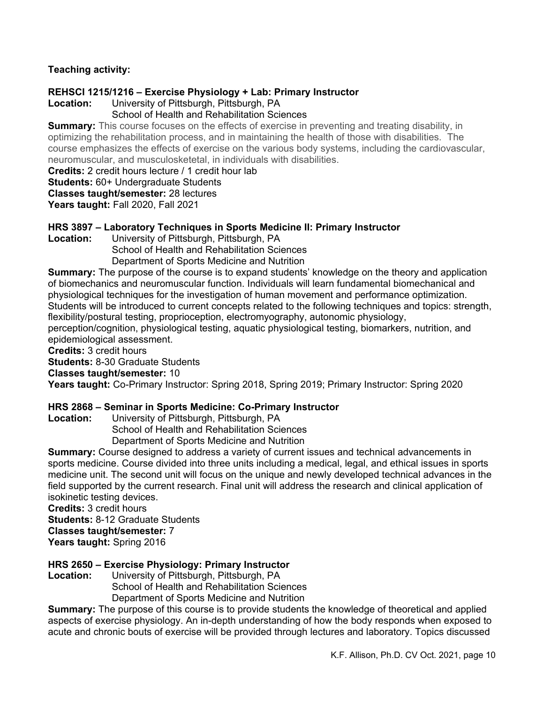# **Teaching activity:**

# **REHSCI 1215/1216 – Exercise Physiology + Lab: Primary Instructor**

University of Pittsburgh, Pittsburgh, PA

# School of Health and Rehabilitation Sciences

**Summary:** This course focuses on the effects of exercise in preventing and treating disability, in optimizing the rehabilitation process, and in maintaining the health of those with disabilities. The course emphasizes the effects of exercise on the various body systems, including the cardiovascular, neuromuscular, and musculosketetal, in individuals with disabilities.

**Credits:** 2 credit hours lecture / 1 credit hour lab

**Students:** 60+ Undergraduate Students

**Classes taught/semester:** 28 lectures

**Years taught:** Fall 2020, Fall 2021

# **HRS 3897 – Laboratory Techniques in Sports Medicine II: Primary Instructor**

Location: University of Pittsburgh, Pittsburgh, PA

School of Health and Rehabilitation Sciences Department of Sports Medicine and Nutrition

**Summary:** The purpose of the course is to expand students' knowledge on the theory and application of biomechanics and neuromuscular function. Individuals will learn fundamental biomechanical and physiological techniques for the investigation of human movement and performance optimization. Students will be introduced to current concepts related to the following techniques and topics: strength, flexibility/postural testing, proprioception, electromyography, autonomic physiology,

perception/cognition, physiological testing, aquatic physiological testing, biomarkers, nutrition, and epidemiological assessment.

**Credits:** 3 credit hours

**Students:** 8-30 Graduate Students

# **Classes taught/semester:** 10

**Years taught:** Co-Primary Instructor: Spring 2018, Spring 2019; Primary Instructor: Spring 2020

# **HRS 2868 – Seminar in Sports Medicine: Co-Primary Instructor**

Location: University of Pittsburgh, Pittsburgh, PA School of Health and Rehabilitation Sciences Department of Sports Medicine and Nutrition

**Summary:** Course designed to address a variety of current issues and technical advancements in sports medicine. Course divided into three units including a medical, legal, and ethical issues in sports medicine unit. The second unit will focus on the unique and newly developed technical advances in the field supported by the current research. Final unit will address the research and clinical application of isokinetic testing devices.

**Credits:** 3 credit hours

**Students:** 8-12 Graduate Students

**Classes taught/semester:** 7

Years taught: Spring 2016

# **HRS 2650 – Exercise Physiology: Primary Instructor**

Location: University of Pittsburgh, Pittsburgh, PA School of Health and Rehabilitation Sciences Department of Sports Medicine and Nutrition

**Summary:** The purpose of this course is to provide students the knowledge of theoretical and applied aspects of exercise physiology. An in-depth understanding of how the body responds when exposed to acute and chronic bouts of exercise will be provided through lectures and laboratory. Topics discussed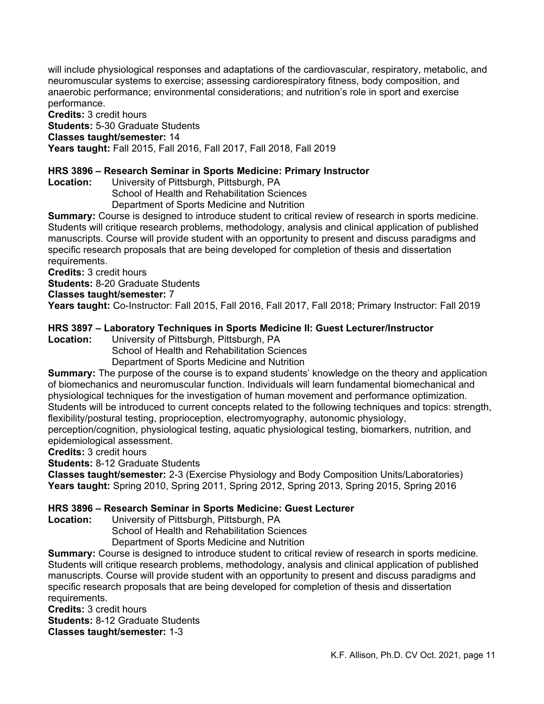will include physiological responses and adaptations of the cardiovascular, respiratory, metabolic, and neuromuscular systems to exercise; assessing cardiorespiratory fitness, body composition, and anaerobic performance; environmental considerations; and nutrition's role in sport and exercise performance.

**Credits:** 3 credit hours **Students:** 5-30 Graduate Students **Classes taught/semester:** 14 **Years taught:** Fall 2015, Fall 2016, Fall 2017, Fall 2018, Fall 2019

# **HRS 3896 – Research Seminar in Sports Medicine: Primary Instructor**

University of Pittsburgh, Pittsburgh, PA School of Health and Rehabilitation Sciences Department of Sports Medicine and Nutrition

**Summary:** Course is designed to introduce student to critical review of research in sports medicine. Students will critique research problems, methodology, analysis and clinical application of published manuscripts. Course will provide student with an opportunity to present and discuss paradigms and specific research proposals that are being developed for completion of thesis and dissertation requirements.

**Credits:** 3 credit hours

**Students:** 8-20 Graduate Students

#### **Classes taught/semester:** 7

**Years taught:** Co-Instructor: Fall 2015, Fall 2016, Fall 2017, Fall 2018; Primary Instructor: Fall 2019

# **HRS 3897 – Laboratory Techniques in Sports Medicine II: Guest Lecturer/Instructor**

University of Pittsburgh, Pittsburgh, PA

School of Health and Rehabilitation Sciences

Department of Sports Medicine and Nutrition

**Summary:** The purpose of the course is to expand students' knowledge on the theory and application of biomechanics and neuromuscular function. Individuals will learn fundamental biomechanical and physiological techniques for the investigation of human movement and performance optimization. Students will be introduced to current concepts related to the following techniques and topics: strength, flexibility/postural testing, proprioception, electromyography, autonomic physiology,

perception/cognition, physiological testing, aquatic physiological testing, biomarkers, nutrition, and epidemiological assessment.

**Credits:** 3 credit hours

**Students:** 8-12 Graduate Students

**Classes taught/semester:** 2-3 (Exercise Physiology and Body Composition Units/Laboratories) **Years taught:** Spring 2010, Spring 2011, Spring 2012, Spring 2013, Spring 2015, Spring 2016

## **HRS 3896 – Research Seminar in Sports Medicine: Guest Lecturer**

Location: University of Pittsburgh, Pittsburgh, PA

School of Health and Rehabilitation Sciences

Department of Sports Medicine and Nutrition

**Summary:** Course is designed to introduce student to critical review of research in sports medicine. Students will critique research problems, methodology, analysis and clinical application of published manuscripts. Course will provide student with an opportunity to present and discuss paradigms and specific research proposals that are being developed for completion of thesis and dissertation requirements.

**Credits:** 3 credit hours

**Students:** 8-12 Graduate Students

**Classes taught/semester:** 1-3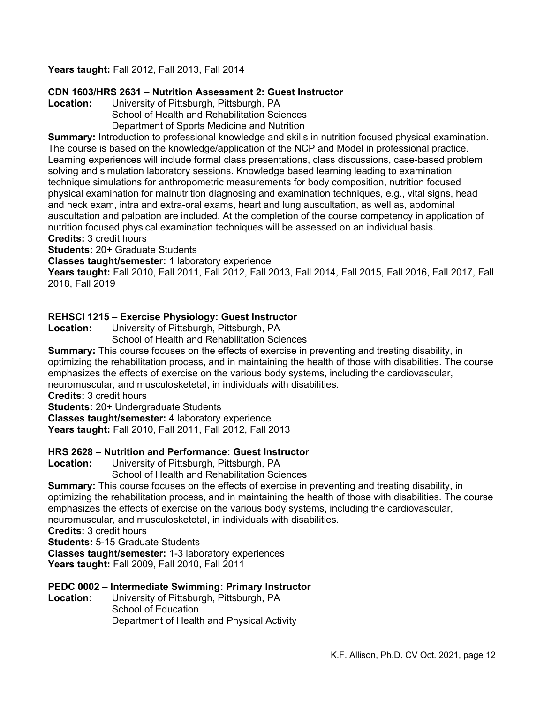# **Years taught:** Fall 2012, Fall 2013, Fall 2014

## **CDN 1603/HRS 2631 – Nutrition Assessment 2: Guest Instructor**

**Location:** University of Pittsburgh, Pittsburgh, PA School of Health and Rehabilitation Sciences Department of Sports Medicine and Nutrition

**Summary:** Introduction to professional knowledge and skills in nutrition focused physical examination. The course is based on the knowledge/application of the NCP and Model in professional practice. Learning experiences will include formal class presentations, class discussions, case-based problem solving and simulation laboratory sessions. Knowledge based learning leading to examination technique simulations for anthropometric measurements for body composition, nutrition focused physical examination for malnutrition diagnosing and examination techniques, e.g., vital signs, head and neck exam, intra and extra-oral exams, heart and lung auscultation, as well as, abdominal auscultation and palpation are included. At the completion of the course competency in application of nutrition focused physical examination techniques will be assessed on an individual basis. **Credits:** 3 credit hours

**Students:** 20+ Graduate Students

**Classes taught/semester:** 1 laboratory experience

**Years taught:** Fall 2010, Fall 2011, Fall 2012, Fall 2013, Fall 2014, Fall 2015, Fall 2016, Fall 2017, Fall 2018, Fall 2019

#### **REHSCI 1215 – Exercise Physiology: Guest Instructor**

**Location:** University of Pittsburgh, Pittsburgh, PA

School of Health and Rehabilitation Sciences

**Summary:** This course focuses on the effects of exercise in preventing and treating disability, in optimizing the rehabilitation process, and in maintaining the health of those with disabilities. The course emphasizes the effects of exercise on the various body systems, including the cardiovascular, neuromuscular, and musculosketetal, in individuals with disabilities.

**Credits:** 3 credit hours

**Students:** 20+ Undergraduate Students

**Classes taught/semester:** 4 laboratory experience

**Years taught:** Fall 2010, Fall 2011, Fall 2012, Fall 2013

#### **HRS 2628 – Nutrition and Performance: Guest Instructor**

**Location:** University of Pittsburgh, Pittsburgh, PA School of Health and Rehabilitation Sciences

**Summary:** This course focuses on the effects of exercise in preventing and treating disability, in optimizing the rehabilitation process, and in maintaining the health of those with disabilities. The course emphasizes the effects of exercise on the various body systems, including the cardiovascular, neuromuscular, and musculosketetal, in individuals with disabilities.

**Credits:** 3 credit hours

**Students:** 5-15 Graduate Students

**Classes taught/semester:** 1-3 laboratory experiences

**Years taught:** Fall 2009, Fall 2010, Fall 2011

# **PEDC 0002 – Intermediate Swimming: Primary Instructor**

University of Pittsburgh, Pittsburgh, PA School of Education Department of Health and Physical Activity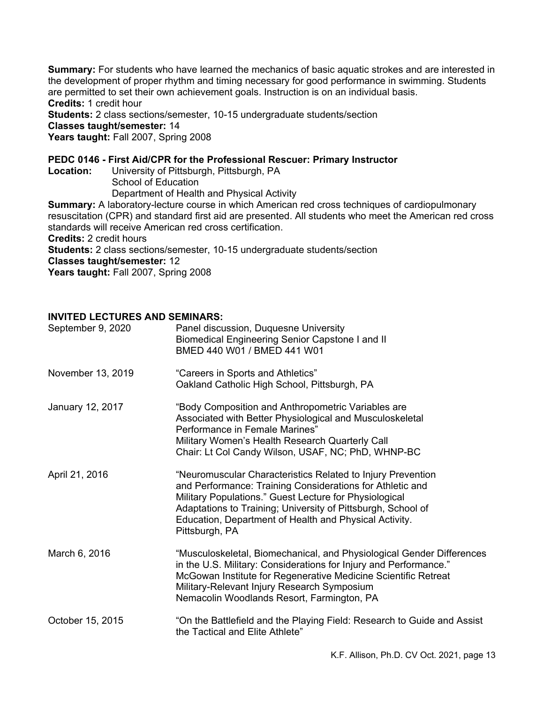**Summary:** For students who have learned the mechanics of basic aquatic strokes and are interested in the development of proper rhythm and timing necessary for good performance in swimming. Students are permitted to set their own achievement goals. Instruction is on an individual basis. **Credits:** 1 credit hour

**Students:** 2 class sections/semester, 10-15 undergraduate students/section

#### **Classes taught/semester:** 14

Years taught: Fall 2007, Spring 2008

#### **PEDC 0146 - First Aid/CPR for the Professional Rescuer: Primary Instructor**

Location: University of Pittsburgh, Pittsburgh, PA School of Education Department of Health and Physical Activity

**Summary:** A laboratory-lecture course in which American red cross techniques of cardiopulmonary resuscitation (CPR) and standard first aid are presented. All students who meet the American red cross standards will receive American red cross certification. **Credits:** 2 credit hours **Students:** 2 class sections/semester, 10-15 undergraduate students/section **Classes taught/semester:** 12

**Years taught:** Fall 2007, Spring 2008

## **INVITED LECTURES AND SEMINARS:**

| September 9, 2020 | Panel discussion, Duquesne University<br><b>Biomedical Engineering Senior Capstone I and II</b><br>BMED 440 W01 / BMED 441 W01                                                                                                                                                                                                 |
|-------------------|--------------------------------------------------------------------------------------------------------------------------------------------------------------------------------------------------------------------------------------------------------------------------------------------------------------------------------|
| November 13, 2019 | "Careers in Sports and Athletics"<br>Oakland Catholic High School, Pittsburgh, PA                                                                                                                                                                                                                                              |
| January 12, 2017  | "Body Composition and Anthropometric Variables are<br>Associated with Better Physiological and Musculoskeletal<br>Performance in Female Marines"<br>Military Women's Health Research Quarterly Call<br>Chair: Lt Col Candy Wilson, USAF, NC; PhD, WHNP-BC                                                                      |
| April 21, 2016    | "Neuromuscular Characteristics Related to Injury Prevention<br>and Performance: Training Considerations for Athletic and<br>Military Populations." Guest Lecture for Physiological<br>Adaptations to Training; University of Pittsburgh, School of<br>Education, Department of Health and Physical Activity.<br>Pittsburgh, PA |
| March 6, 2016     | "Musculoskeletal, Biomechanical, and Physiological Gender Differences<br>in the U.S. Military: Considerations for Injury and Performance."<br>McGowan Institute for Regenerative Medicine Scientific Retreat<br>Military-Relevant Injury Research Symposium<br>Nemacolin Woodlands Resort, Farmington, PA                      |
| October 15, 2015  | "On the Battlefield and the Playing Field: Research to Guide and Assist<br>the Tactical and Elite Athlete"                                                                                                                                                                                                                     |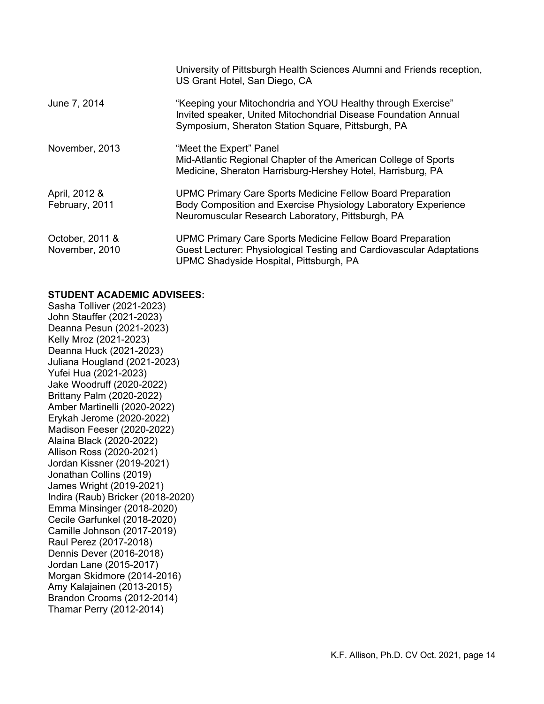|                                   | University of Pittsburgh Health Sciences Alumni and Friends reception,<br>US Grant Hotel, San Diego, CA                                                                                  |
|-----------------------------------|------------------------------------------------------------------------------------------------------------------------------------------------------------------------------------------|
| June 7, 2014                      | "Keeping your Mitochondria and YOU Healthy through Exercise"<br>Invited speaker, United Mitochondrial Disease Foundation Annual<br>Symposium, Sheraton Station Square, Pittsburgh, PA    |
| November, 2013                    | "Meet the Expert" Panel<br>Mid-Atlantic Regional Chapter of the American College of Sports<br>Medicine, Sheraton Harrisburg-Hershey Hotel, Harrisburg, PA                                |
| April, 2012 &<br>February, 2011   | <b>UPMC Primary Care Sports Medicine Fellow Board Preparation</b><br>Body Composition and Exercise Physiology Laboratory Experience<br>Neuromuscular Research Laboratory, Pittsburgh, PA |
| October, 2011 &<br>November, 2010 | <b>UPMC Primary Care Sports Medicine Fellow Board Preparation</b><br>Guest Lecturer: Physiological Testing and Cardiovascular Adaptations<br>UPMC Shadyside Hospital, Pittsburgh, PA     |

## **STUDENT ACADEMIC ADVISEES:**

Sasha Tolliver (2021-2023) John Stauffer (2021-2023) Deanna Pesun (2021-2023) Kelly Mroz (2021-2023) Deanna Huck (2021-2023) Juliana Hougland (2021-2023) Yufei Hua (2021-2023) Jake Woodruff (2020-2022) Brittany Palm (2020-2022) Amber Martinelli (2020-2022) Erykah Jerome (2020-2022) Madison Feeser (2020-2022) Alaina Black (2020-2022) Allison Ross (2020-2021) Jordan Kissner (2019-2021) Jonathan Collins (2019) James Wright (2019-2021) Indira (Raub) Bricker (2018-2020) Emma Minsinger (2018-2020) Cecile Garfunkel (2018-2020) Camille Johnson (2017-2019) Raul Perez (2017-2018) Dennis Dever (2016-2018) Jordan Lane (2015-2017) Morgan Skidmore (2014-2016) Amy Kalajainen (2013-2015) Brandon Crooms (2012-2014) Thamar Perry (2012-2014)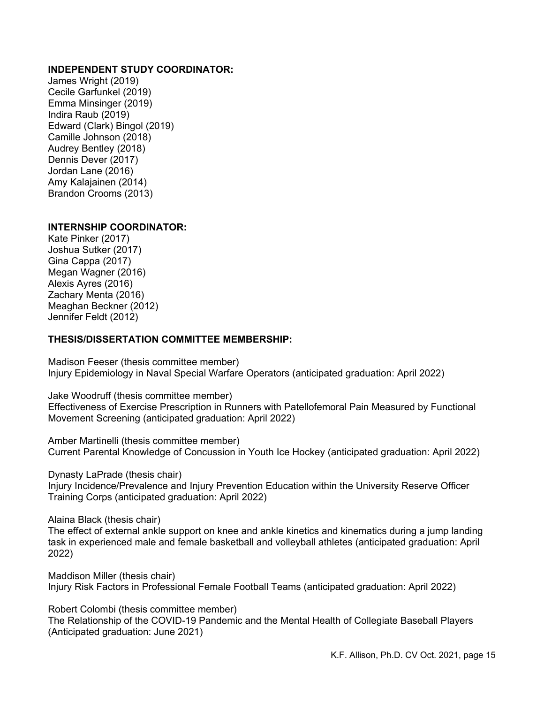## **INDEPENDENT STUDY COORDINATOR:**

James Wright (2019) Cecile Garfunkel (2019) Emma Minsinger (2019) Indira Raub (2019) Edward (Clark) Bingol (2019) Camille Johnson (2018) Audrey Bentley (2018) Dennis Dever (2017) Jordan Lane (2016) Amy Kalajainen (2014) Brandon Crooms (2013)

#### **INTERNSHIP COORDINATOR:**

Kate Pinker (2017) Joshua Sutker (2017) Gina Cappa (2017) Megan Wagner (2016) Alexis Ayres (2016) Zachary Menta (2016) Meaghan Beckner (2012) Jennifer Feldt (2012)

#### **THESIS/DISSERTATION COMMITTEE MEMBERSHIP:**

Madison Feeser (thesis committee member) Injury Epidemiology in Naval Special Warfare Operators (anticipated graduation: April 2022)

Jake Woodruff (thesis committee member) Effectiveness of Exercise Prescription in Runners with Patellofemoral Pain Measured by Functional Movement Screening (anticipated graduation: April 2022)

Amber Martinelli (thesis committee member) Current Parental Knowledge of Concussion in Youth Ice Hockey (anticipated graduation: April 2022)

Dynasty LaPrade (thesis chair)

Injury Incidence/Prevalence and Injury Prevention Education within the University Reserve Officer Training Corps (anticipated graduation: April 2022)

Alaina Black (thesis chair)

The effect of external ankle support on knee and ankle kinetics and kinematics during a jump landing task in experienced male and female basketball and volleyball athletes (anticipated graduation: April 2022)

Maddison Miller (thesis chair) Injury Risk Factors in Professional Female Football Teams (anticipated graduation: April 2022)

Robert Colombi (thesis committee member)

The Relationship of the COVID-19 Pandemic and the Mental Health of Collegiate Baseball Players (Anticipated graduation: June 2021)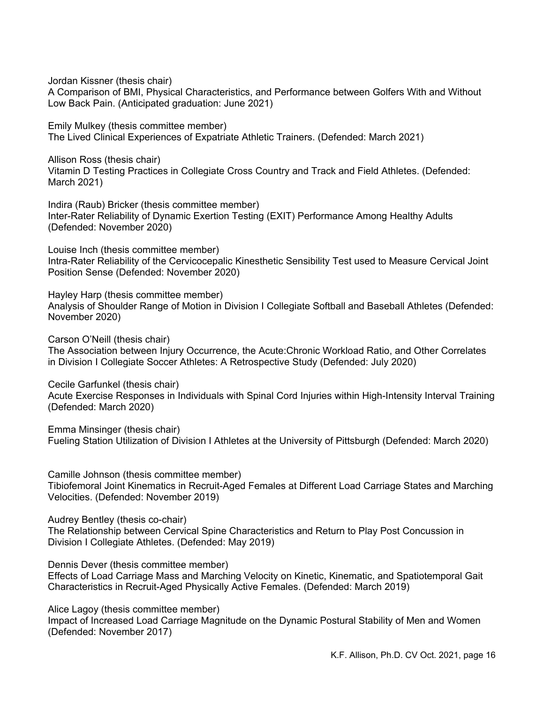Jordan Kissner (thesis chair)

A Comparison of BMI, Physical Characteristics, and Performance between Golfers With and Without Low Back Pain. (Anticipated graduation: June 2021)

Emily Mulkey (thesis committee member) The Lived Clinical Experiences of Expatriate Athletic Trainers. (Defended: March 2021)

Allison Ross (thesis chair) Vitamin D Testing Practices in Collegiate Cross Country and Track and Field Athletes. (Defended: March 2021)

Indira (Raub) Bricker (thesis committee member) Inter-Rater Reliability of Dynamic Exertion Testing (EXIT) Performance Among Healthy Adults (Defended: November 2020)

Louise Inch (thesis committee member) Intra-Rater Reliability of the Cervicocepalic Kinesthetic Sensibility Test used to Measure Cervical Joint Position Sense (Defended: November 2020)

Hayley Harp (thesis committee member) Analysis of Shoulder Range of Motion in Division I Collegiate Softball and Baseball Athletes (Defended: November 2020)

Carson O'Neill (thesis chair)

The Association between Injury Occurrence, the Acute:Chronic Workload Ratio, and Other Correlates in Division I Collegiate Soccer Athletes: A Retrospective Study (Defended: July 2020)

Cecile Garfunkel (thesis chair)

Acute Exercise Responses in Individuals with Spinal Cord Injuries within High-Intensity Interval Training (Defended: March 2020)

Emma Minsinger (thesis chair) Fueling Station Utilization of Division I Athletes at the University of Pittsburgh (Defended: March 2020)

Camille Johnson (thesis committee member)

Tibiofemoral Joint Kinematics in Recruit-Aged Females at Different Load Carriage States and Marching Velocities. (Defended: November 2019)

Audrey Bentley (thesis co-chair)

The Relationship between Cervical Spine Characteristics and Return to Play Post Concussion in Division I Collegiate Athletes. (Defended: May 2019)

Dennis Dever (thesis committee member)

Effects of Load Carriage Mass and Marching Velocity on Kinetic, Kinematic, and Spatiotemporal Gait Characteristics in Recruit-Aged Physically Active Females. (Defended: March 2019)

Alice Lagoy (thesis committee member)

Impact of Increased Load Carriage Magnitude on the Dynamic Postural Stability of Men and Women (Defended: November 2017)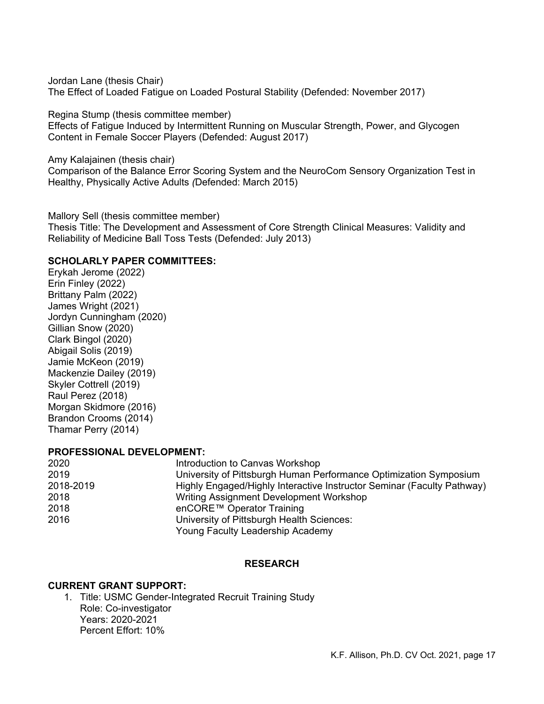Jordan Lane (thesis Chair) The Effect of Loaded Fatigue on Loaded Postural Stability (Defended: November 2017)

Regina Stump (thesis committee member)

Effects of Fatigue Induced by Intermittent Running on Muscular Strength, Power, and Glycogen Content in Female Soccer Players (Defended: August 2017)

Amy Kalajainen (thesis chair)

Comparison of the Balance Error Scoring System and the NeuroCom Sensory Organization Test in Healthy, Physically Active Adults *(*Defended: March 2015)

Mallory Sell (thesis committee member)

Thesis Title: The Development and Assessment of Core Strength Clinical Measures: Validity and Reliability of Medicine Ball Toss Tests (Defended: July 2013)

## **SCHOLARLY PAPER COMMITTEES:**

Erykah Jerome (2022) Erin Finley (2022) Brittany Palm (2022) James Wright (2021) Jordyn Cunningham (2020) Gillian Snow (2020) Clark Bingol (2020) Abigail Solis (2019) Jamie McKeon (2019) Mackenzie Dailey (2019) Skyler Cottrell (2019) Raul Perez (2018) Morgan Skidmore (2016) Brandon Crooms (2014) Thamar Perry (2014)

#### **PROFESSIONAL DEVELOPMENT:**

| 2020      | Introduction to Canvas Workshop                                        |
|-----------|------------------------------------------------------------------------|
| 2019      | University of Pittsburgh Human Performance Optimization Symposium      |
| 2018-2019 | Highly Engaged/Highly Interactive Instructor Seminar (Faculty Pathway) |
| 2018      | Writing Assignment Development Workshop                                |
| 2018      | enCORE™ Operator Training                                              |
| 2016      | University of Pittsburgh Health Sciences:                              |
|           | Young Faculty Leadership Academy                                       |

#### **RESEARCH**

#### **CURRENT GRANT SUPPORT:**

1. Title: USMC Gender-Integrated Recruit Training Study Role: Co-investigator Years: 2020-2021 Percent Effort: 10%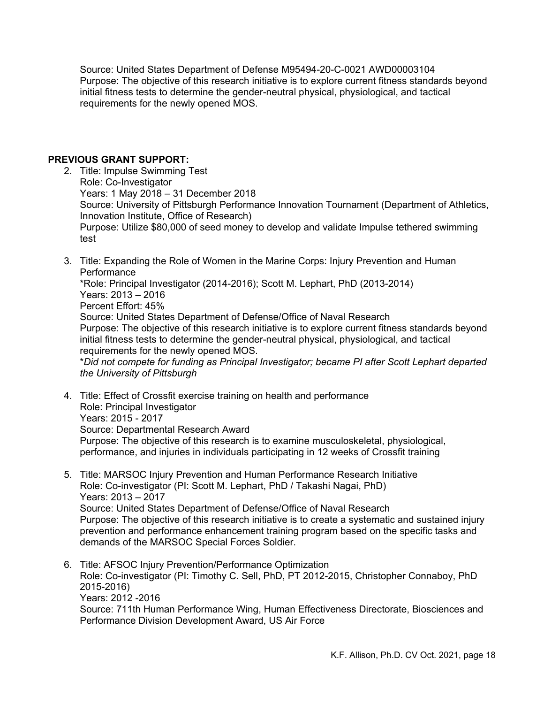Source: United States Department of Defense M95494-20-C-0021 AWD00003104 Purpose: The objective of this research initiative is to explore current fitness standards beyond initial fitness tests to determine the gender-neutral physical, physiological, and tactical requirements for the newly opened MOS.

#### **PREVIOUS GRANT SUPPORT:**

- 2. Title: Impulse Swimming Test Role: Co-Investigator Years: 1 May 2018 – 31 December 2018 Source: University of Pittsburgh Performance Innovation Tournament (Department of Athletics, Innovation Institute, Office of Research) Purpose: Utilize \$80,000 of seed money to develop and validate Impulse tethered swimming test
- 3. Title: Expanding the Role of Women in the Marine Corps: Injury Prevention and Human **Performance** \*Role: Principal Investigator (2014-2016); Scott M. Lephart, PhD (2013-2014)

Years: 2013 – 2016 Percent Effort: 45% Source: United States Department of Defense/Office of Naval Research Purpose: The objective of this research initiative is to explore current fitness standards beyond initial fitness tests to determine the gender-neutral physical, physiological, and tactical requirements for the newly opened MOS.

\**Did not compete for funding as Principal Investigator; became PI after Scott Lephart departed the University of Pittsburgh* 

4. Title: Effect of Crossfit exercise training on health and performance Role: Principal Investigator Years: 2015 - 2017 Source: Departmental Research Award Purpose: The objective of this research is to examine musculoskeletal, physiological, performance, and injuries in individuals participating in 12 weeks of Crossfit training

- 5. Title: MARSOC Injury Prevention and Human Performance Research Initiative Role: Co-investigator (PI: Scott M. Lephart, PhD / Takashi Nagai, PhD) Years: 2013 – 2017 Source: United States Department of Defense/Office of Naval Research Purpose: The objective of this research initiative is to create a systematic and sustained injury prevention and performance enhancement training program based on the specific tasks and demands of the MARSOC Special Forces Soldier.
- 6. Title: AFSOC Injury Prevention/Performance Optimization Role: Co-investigator (PI: Timothy C. Sell, PhD, PT 2012-2015, Christopher Connaboy, PhD 2015-2016) Years: 2012 -2016 Source: 711th Human Performance Wing, Human Effectiveness Directorate, Biosciences and Performance Division Development Award, US Air Force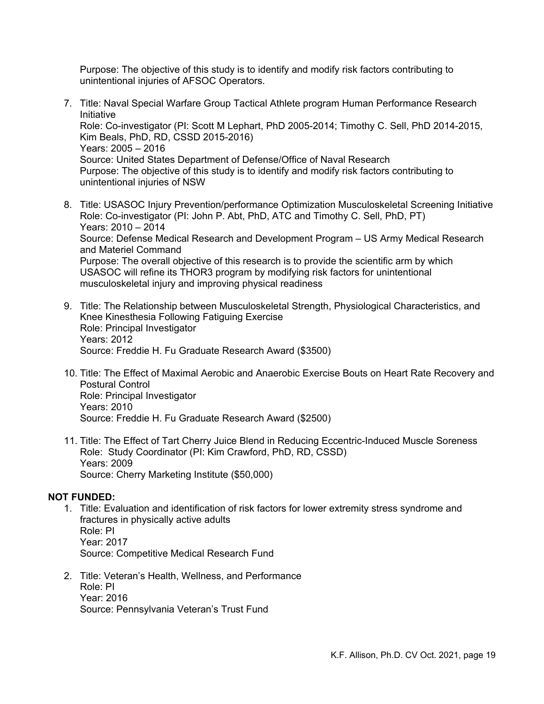Purpose: The objective of this study is to identify and modify risk factors contributing to unintentional injuries of AFSOC Operators.

- 7. Title: Naval Special Warfare Group Tactical Athlete program Human Performance Research Initiative Role: Co-investigator (PI: Scott M Lephart, PhD 2005-2014; Timothy C. Sell, PhD 2014-2015, Kim Beals, PhD, RD, CSSD 2015-2016) Years: 2005 – 2016 Source: United States Department of Defense/Office of Naval Research Purpose: The objective of this study is to identify and modify risk factors contributing to unintentional injuries of NSW
- 8. Title: USASOC Injury Prevention/performance Optimization Musculoskeletal Screening Initiative Role: Co-investigator (PI: John P. Abt, PhD, ATC and Timothy C. Sell, PhD, PT) Years: 2010 – 2014 Source: Defense Medical Research and Development Program – US Army Medical Research and Materiel Command Purpose: The overall objective of this research is to provide the scientific arm by which USASOC will refine its THOR3 program by modifying risk factors for unintentional musculoskeletal injury and improving physical readiness
- 9. Title: The Relationship between Musculoskeletal Strength, Physiological Characteristics, and Knee Kinesthesia Following Fatiguing Exercise Role: Principal Investigator Years: 2012 Source: Freddie H. Fu Graduate Research Award (\$3500)
- 10. Title: The Effect of Maximal Aerobic and Anaerobic Exercise Bouts on Heart Rate Recovery and Postural Control Role: Principal Investigator Years: 2010 Source: Freddie H. Fu Graduate Research Award (\$2500)
- 11. Title: The Effect of Tart Cherry Juice Blend in Reducing Eccentric-Induced Muscle Soreness Role: Study Coordinator (PI: Kim Crawford, PhD, RD, CSSD) Years: 2009 Source: Cherry Marketing Institute (\$50,000)

#### **NOT FUNDED:**

- 1. Title: Evaluation and identification of risk factors for lower extremity stress syndrome and fractures in physically active adults Role: PI Year: 2017 Source: Competitive Medical Research Fund
- 2. Title: Veteran's Health, Wellness, and Performance Role: PI Year: 2016 Source: Pennsylvania Veteran's Trust Fund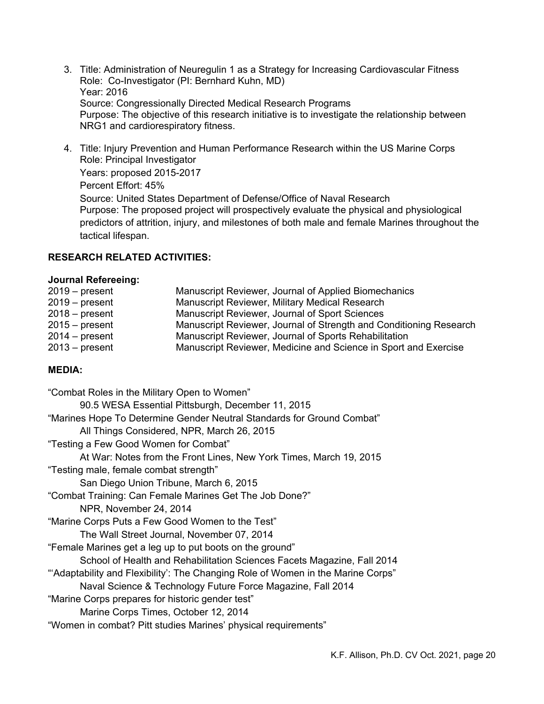- 3. Title: Administration of Neuregulin 1 as a Strategy for Increasing Cardiovascular Fitness Role: Co-Investigator (PI: Bernhard Kuhn, MD) Year: 2016 Source: Congressionally Directed Medical Research Programs Purpose: The objective of this research initiative is to investigate the relationship between NRG1 and cardiorespiratory fitness.
- 4. Title: Injury Prevention and Human Performance Research within the US Marine Corps Role: Principal Investigator Years: proposed 2015-2017 Percent Effort: 45% Source: United States Department of Defense/Office of Naval Research Purpose: The proposed project will prospectively evaluate the physical and physiological predictors of attrition, injury, and milestones of both male and female Marines throughout the tactical lifespan.

## **RESEARCH RELATED ACTIVITIES:**

#### **Journal Refereeing:**

| $2019 - present$ | Manuscript Reviewer, Journal of Applied Biomechanics               |
|------------------|--------------------------------------------------------------------|
| $2019 - present$ | Manuscript Reviewer, Military Medical Research                     |
| $2018 - present$ | Manuscript Reviewer, Journal of Sport Sciences                     |
| $2015 - present$ | Manuscript Reviewer, Journal of Strength and Conditioning Research |
| $2014 - present$ | Manuscript Reviewer, Journal of Sports Rehabilitation              |
| $2013 - present$ | Manuscript Reviewer, Medicine and Science in Sport and Exercise    |

## **MEDIA:**

| "Combat Roles in the Military Open to Women"                                    |
|---------------------------------------------------------------------------------|
| 90.5 WESA Essential Pittsburgh, December 11, 2015                               |
| "Marines Hope To Determine Gender Neutral Standards for Ground Combat"          |
| All Things Considered, NPR, March 26, 2015                                      |
| "Testing a Few Good Women for Combat"                                           |
| At War: Notes from the Front Lines, New York Times, March 19, 2015              |
| "Testing male, female combat strength"                                          |
| San Diego Union Tribune, March 6, 2015                                          |
| "Combat Training: Can Female Marines Get The Job Done?"                         |
| NPR, November 24, 2014                                                          |
| "Marine Corps Puts a Few Good Women to the Test"                                |
| The Wall Street Journal, November 07, 2014                                      |
| "Female Marines get a leg up to put boots on the ground"                        |
| School of Health and Rehabilitation Sciences Facets Magazine, Fall 2014         |
| "Adaptability and Flexibility': The Changing Role of Women in the Marine Corps" |
| Naval Science & Technology Future Force Magazine, Fall 2014                     |
| "Marine Corps prepares for historic gender test"                                |
| Marine Corps Times, October 12, 2014                                            |
| "Women in combat? Pitt studies Marines' physical requirements"                  |
|                                                                                 |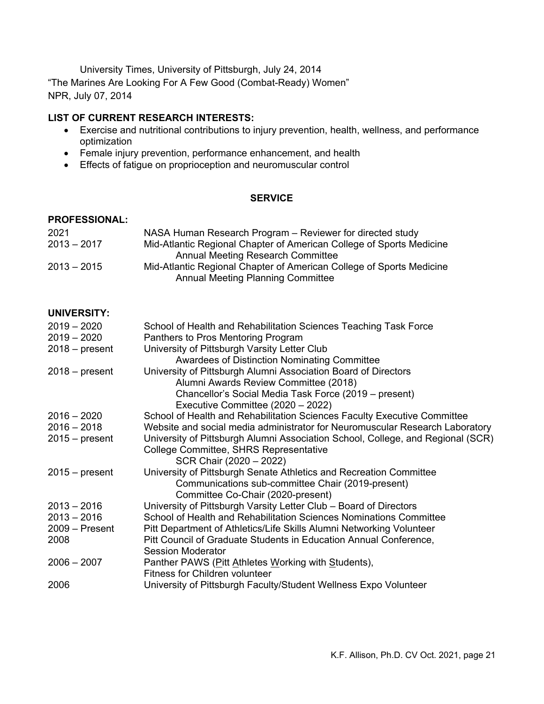University Times, University of Pittsburgh, July 24, 2014 "The Marines Are Looking For A Few Good (Combat-Ready) Women" NPR, July 07, 2014

## **LIST OF CURRENT RESEARCH INTERESTS:**

- Exercise and nutritional contributions to injury prevention, health, wellness, and performance optimization
- Female injury prevention, performance enhancement, and health
- Effects of fatigue on proprioception and neuromuscular control

#### **SERVICE**

#### **PROFESSIONAL:**

| 2021          | NASA Human Research Program – Reviewer for directed study            |
|---------------|----------------------------------------------------------------------|
| $2013 - 2017$ | Mid-Atlantic Regional Chapter of American College of Sports Medicine |
|               | <b>Annual Meeting Research Committee</b>                             |
| $2013 - 2015$ | Mid-Atlantic Regional Chapter of American College of Sports Medicine |
|               | <b>Annual Meeting Planning Committee</b>                             |

## **UNIVERSITY:**

| $2019 - 2020$    | School of Health and Rehabilitation Sciences Teaching Task Force                |
|------------------|---------------------------------------------------------------------------------|
| $2019 - 2020$    | Panthers to Pros Mentoring Program                                              |
| $2018 - present$ | University of Pittsburgh Varsity Letter Club                                    |
|                  | <b>Awardees of Distinction Nominating Committee</b>                             |
| $2018 - present$ | University of Pittsburgh Alumni Association Board of Directors                  |
|                  | Alumni Awards Review Committee (2018)                                           |
|                  | Chancellor's Social Media Task Force (2019 – present)                           |
|                  | Executive Committee (2020 - 2022)                                               |
| $2016 - 2020$    | School of Health and Rehabilitation Sciences Faculty Executive Committee        |
| $2016 - 2018$    | Website and social media administrator for Neuromuscular Research Laboratory    |
| $2015 - present$ | University of Pittsburgh Alumni Association School, College, and Regional (SCR) |
|                  | College Committee, SHRS Representative                                          |
|                  | SCR Chair (2020 - 2022)                                                         |
| $2015 - present$ | University of Pittsburgh Senate Athletics and Recreation Committee              |
|                  | Communications sub-committee Chair (2019-present)                               |
|                  | Committee Co-Chair (2020-present)                                               |
| $2013 - 2016$    | University of Pittsburgh Varsity Letter Club - Board of Directors               |
| $2013 - 2016$    | School of Health and Rehabilitation Sciences Nominations Committee              |
| $2009 -$ Present | Pitt Department of Athletics/Life Skills Alumni Networking Volunteer            |
| 2008             | Pitt Council of Graduate Students in Education Annual Conference,               |
|                  | <b>Session Moderator</b>                                                        |
| $2006 - 2007$    | Panther PAWS (Pitt Athletes Working with Students),                             |
|                  | <b>Fitness for Children volunteer</b>                                           |
| 2006             | University of Pittsburgh Faculty/Student Wellness Expo Volunteer                |